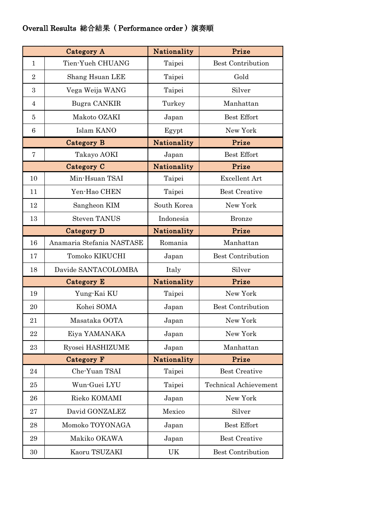## Overall Results 総合結果 ( Performance order ) 演奏順

|                   | Category A                | Nationality | Prize                        |
|-------------------|---------------------------|-------------|------------------------------|
| $\mathbf{1}$      | Tien-Yueh CHUANG          | Taipei      | <b>Best Contribution</b>     |
| $\overline{2}$    | Shang Hsuan LEE           | Taipei      | Gold                         |
| 3                 | Vega Weija WANG           | Taipei      | Silver                       |
| $\overline{4}$    | Bugra CANKIR              | Turkey      | Manhattan                    |
| 5                 | Makoto OZAKI              | Japan       | <b>Best Effort</b>           |
| $\,6\,$           | Islam KANO                | Egypt       | New York                     |
|                   | <b>Category B</b>         | Nationality | Prize                        |
| 7                 | Takayo AOKI               | Japan       | <b>Best Effort</b>           |
|                   | Category C                | Nationality | Prize                        |
| 10                | Min-Hsuan TSAI            | Taipei      | <b>Excellent Art</b>         |
| 11                | Yen-Hao CHEN              | Taipei      | <b>Best Creative</b>         |
| 12                | Sangheon KIM              | South Korea | New York                     |
| 13                | <b>Steven TANUS</b>       | Indonesia   | <b>Bronze</b>                |
| Category D        |                           | Nationality | Prize                        |
| 16                | Anamaria Stefania NASTASE | Romania     | Manhattan                    |
| 17                | Tomoko KIKUCHI            | Japan       | <b>Best Contribution</b>     |
| 18                | Davide SANTACOLOMBA       | Italy       | Silver                       |
|                   | Category E                | Nationality | Prize                        |
| 19                | Yung-Kai KU               | Taipei      | New York                     |
| 20                | Kohei SOMA                | Japan       | <b>Best Contribution</b>     |
| 21                | Masataka OOTA             | Japan       | New York                     |
| 22                | Eiya YAMANAKA             | Japan       | New York                     |
| 23                | Ryosei HASHIZUME          | Japan       | Manhattan                    |
| <b>Category F</b> |                           | Nationality | Prize                        |
| 24                | Che-Yuan TSAI             | Taipei      | <b>Best Creative</b>         |
| 25                | Wun-Guei LYU              | Taipei      | <b>Technical Achievement</b> |
| 26                | Rieko KOMAMI              | Japan       | New York                     |
| 27                | David GONZALEZ            | Mexico      | Silver                       |
| 28                | Momoko TOYONAGA           | Japan       | Best Effort                  |
| 29                | Makiko OKAWA              | Japan       | <b>Best Creative</b>         |
| 30                | Kaoru TSUZAKI             | UK          | <b>Best Contribution</b>     |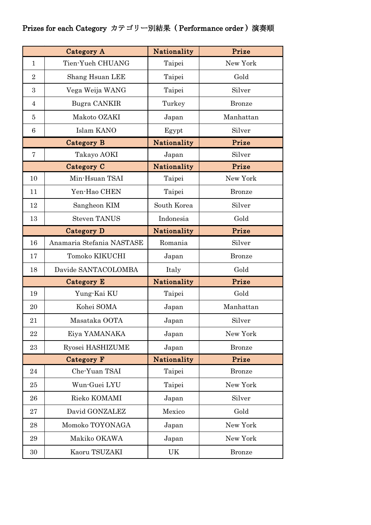## Prizes for each Category カテゴリー別結果 ( Performance order ) 演奏順

| Category A        |                           | Nationality | Prize         |
|-------------------|---------------------------|-------------|---------------|
| $\mathbf{1}$      | Tien-Yueh CHUANG          | Taipei      | New York      |
| $\overline{2}$    | Shang Hsuan LEE           | Taipei      | Gold          |
| 3                 | Vega Weija WANG           | Taipei      | Silver        |
| $\overline{4}$    | Bugra CANKIR              | Turkey      | <b>Bronze</b> |
| 5                 | Makoto OZAKI              | Japan       | Manhattan     |
| 6                 | Islam KANO                | Egypt       | Silver        |
|                   | Category B                | Nationality | Prize         |
| 7                 | Takayo AOKI               | Japan       | Silver        |
|                   | Category C                | Nationality | Prize         |
| 10                | Min-Hsuan TSAI            | Taipei      | New York      |
| 11                | Yen-Hao CHEN              | Taipei      | <b>Bronze</b> |
| 12                | Sangheon KIM              | South Korea | Silver        |
| 13                | <b>Steven TANUS</b>       | Indonesia   | Gold          |
| <b>Category D</b> |                           | Nationality | Prize         |
| 16                | Anamaria Stefania NASTASE | Romania     | Silver        |
| 17                | Tomoko KIKUCHI            | Japan       | <b>Bronze</b> |
| 18                | Davide SANTACOLOMBA       | Italy       | Gold          |
|                   | Category E                | Nationality | Prize         |
| 19                | Yung-Kai KU               | Taipei      | Gold          |
| 20                | Kohei SOMA                | Japan       | Manhattan     |
| 21                | Masataka OOTA             | Japan       | Silver        |
| 22                | Eiya YAMANAKA             | Japan       | New York      |
| 23                | Ryosei HASHIZUME          | Japan       | <b>Bronze</b> |
| <b>Category F</b> |                           | Nationality | Prize         |
| 24                | Che-Yuan TSAI             | Taipei      | <b>Bronze</b> |
| 25                | Wun-Guei LYU              | Taipei      | New York      |
| 26                | Rieko KOMAMI              | Japan       | Silver        |
| 27                | David GONZALEZ            | Mexico      | Gold          |
| 28                | Momoko TOYONAGA           | Japan       | New York      |
| 29                | Makiko OKAWA              | Japan       | New York      |
| 30                | Kaoru TSUZAKI             | UK          | <b>Bronze</b> |